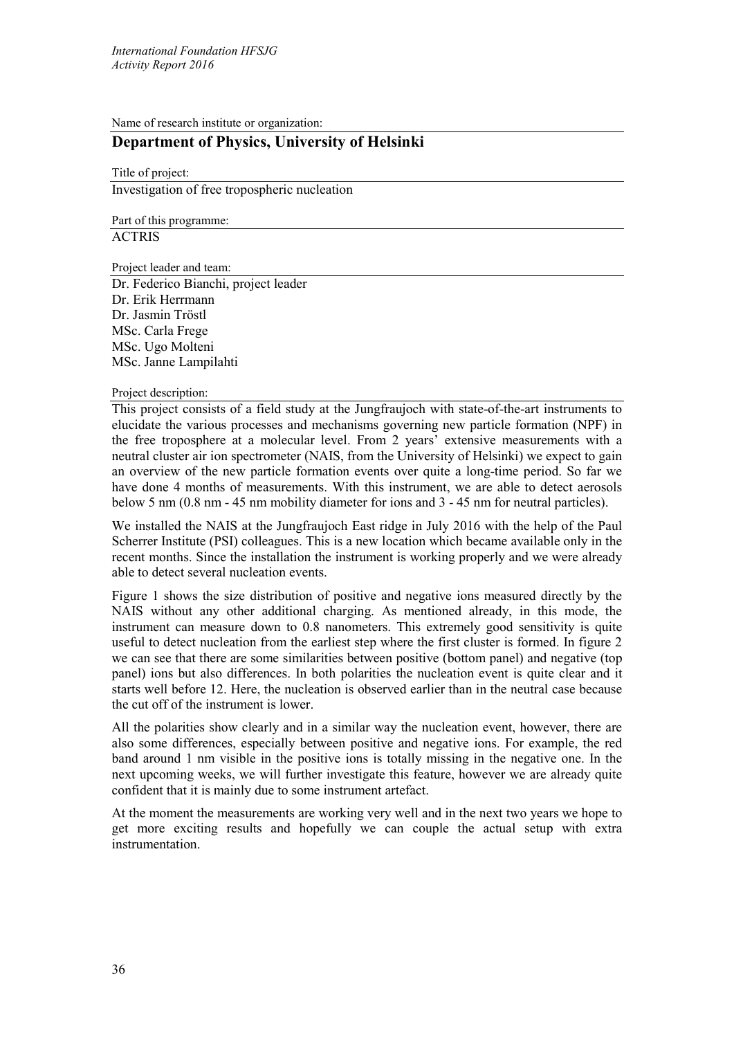Name of research institute or organization:

# **Department of Physics, University of Helsinki**

Title of project: Investigation of free tropospheric nucleation

Part of this programme:

**ACTRIS** 

Project leader and team:

Dr. Federico Bianchi, project leader Dr. Erik Herrmann Dr. Jasmin Tröstl MSc. Carla Frege MSc. Ugo Molteni MSc. Janne Lampilahti

## Project description:

This project consists of a field study at the Jungfraujoch with state-of-the-art instruments to elucidate the various processes and mechanisms governing new particle formation (NPF) in the free troposphere at a molecular level. From 2 years' extensive measurements with a neutral cluster air ion spectrometer (NAIS, from the University of Helsinki) we expect to gain an overview of the new particle formation events over quite a long-time period. So far we have done 4 months of measurements. With this instrument, we are able to detect aerosols below 5 nm (0.8 nm - 45 nm mobility diameter for ions and 3 - 45 nm for neutral particles).

We installed the NAIS at the Jungfraujoch East ridge in July 2016 with the help of the Paul Scherrer Institute (PSI) colleagues. This is a new location which became available only in the recent months. Since the installation the instrument is working properly and we were already able to detect several nucleation events.

Figure 1 shows the size distribution of positive and negative ions measured directly by the NAIS without any other additional charging. As mentioned already, in this mode, the instrument can measure down to 0.8 nanometers. This extremely good sensitivity is quite useful to detect nucleation from the earliest step where the first cluster is formed. In figure 2 we can see that there are some similarities between positive (bottom panel) and negative (top panel) ions but also differences. In both polarities the nucleation event is quite clear and it starts well before 12. Here, the nucleation is observed earlier than in the neutral case because the cut off of the instrument is lower.

All the polarities show clearly and in a similar way the nucleation event, however, there are also some differences, especially between positive and negative ions. For example, the red band around 1 nm visible in the positive ions is totally missing in the negative one. In the next upcoming weeks, we will further investigate this feature, however we are already quite confident that it is mainly due to some instrument artefact.

At the moment the measurements are working very well and in the next two years we hope to get more exciting results and hopefully we can couple the actual setup with extra instrumentation.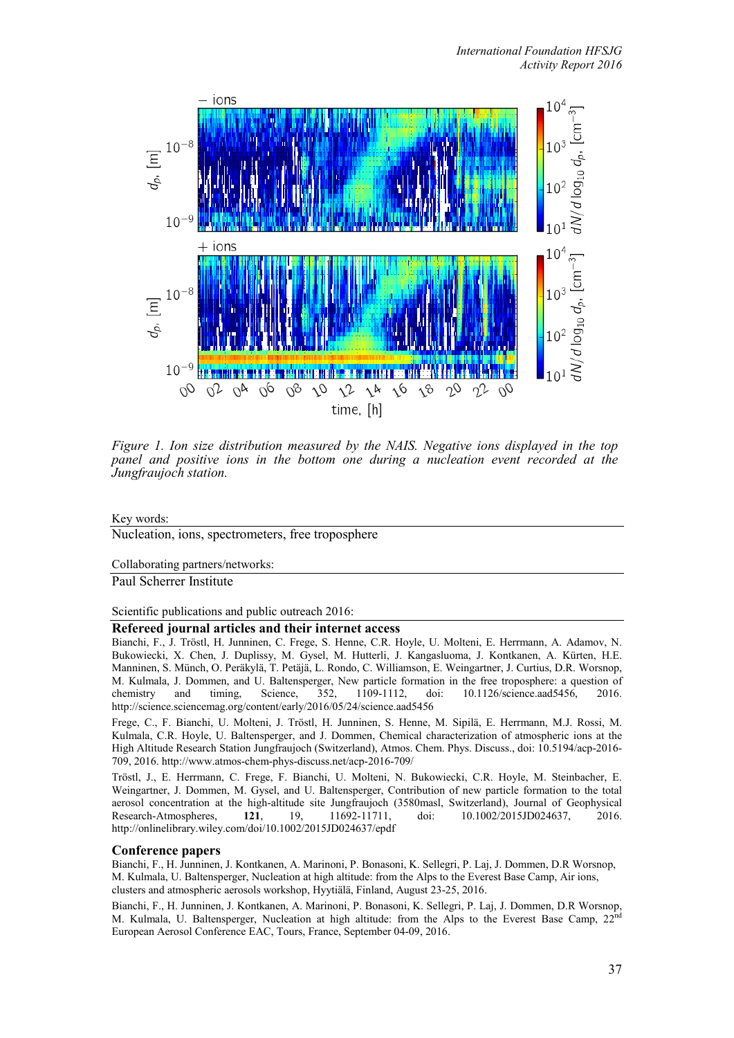

*Figure 1. Ion size distribution measured by the NAIS. Negative ions displayed in the top panel and positive ions in the bottom one during a nucleation event recorded at the Jungfraujoch station.*

#### Key words:

Nucleation, ions, spectrometers, free troposphere

#### Collaborating partners/networks:

Paul Scherrer Institute

Scientific publications and public outreach 2016:

# **Refereed journal articles and their internet access**

Bianchi, F., J. Tröstl, H. Junninen, C. Frege, S. Henne, C.R. Hoyle, U. Molteni, E. Herrmann, A. Adamov, N. Bukowiecki, X. Chen, J. Duplissy, M. Gysel, M. Hutterli, J. Kangasluoma, J. Kontkanen, A. Kürten, H.E. Manninen, S. Münch, O. Peräkylä, T. Petäjä, L. Rondo, C. Williamson, E. Weingartner, J. Curtius, D.R. Worsnop, M. Kulmala, J. Dommen, and U. Baltensperger, New particle formation in the free troposphere: a question of chemistry and timing, Science, 352, 1109-1112, doi: 10.1126/science.aad5456, 2016. chemistry and timing, Science, 352, 1109-1112, doi: 10.1126/science.aad5456, 2016. http://science.sciencemag.org/content/early/2016/05/24/science.aad5456

Frege, C., F. Bianchi, U. Molteni, J. Tröstl, H. Junninen, S. Henne, M. Sipilä, E. Herrmann, M.J. Rossi, M. Kulmala, C.R. Hoyle, U. Baltensperger, and J. Dommen, Chemical characterization of atmospheric ions at the High Altitude Research Station Jungfraujoch (Switzerland), Atmos. Chem. Phys. Discuss., doi: 10.5194/acp-2016- 709, 2016. http://www.atmos-chem-phys-discuss.net/acp-2016-709/

Tröstl, J., E. Herrmann, C. Frege, F. Bianchi, U. Molteni, N. Bukowiecki, C.R. Hoyle, M. Steinbacher, E. Weingartner, J. Dommen, M. Gysel, and U. Baltensperger, Contribution of new particle formation to the total aerosol concentration at the high-altitude site Jungfraujoch (3580masl, Switzerland), Journal of Geophysical Research-Atmospheres, **121**, 19, 11692-11711, doi: 10.1002/2015JD024637, 2016. http://onlinelibrary.wiley.com/doi/10.1002/2015JD024637/epdf

#### **Conference papers**

Bianchi, F., H. Junninen, J. Kontkanen, A. Marinoni, P. Bonasoni, K. Sellegri, P. Laj, J. Dommen, D.R Worsnop, M. Kulmala, U. Baltensperger, Nucleation at high altitude: from the Alps to the Everest Base Camp, Air ions, clusters and atmospheric aerosols workshop, Hyytiälä, Finland, August 23-25, 2016.

Bianchi, F., H. Junninen, J. Kontkanen, A. Marinoni, P. Bonasoni, K. Sellegri, P. Laj, J. Dommen, D.R Worsnop, M. Kulmala, U. Baltensperger, Nucleation at high altitude: from the Alps to the Everest Base Camp,  $22^{nd}$ European Aerosol Conference EAC, Tours, France, September 04-09, 2016.